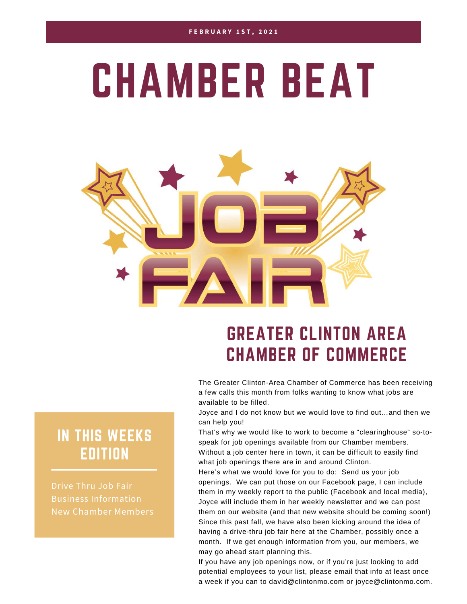# CHAMBER BEAT



### GREATER CLINTON AREA CHAMBER OF COMMERCE

The Greater Clinton-Area Chamber of Commerce has been receiving a few calls this month from folks wanting to know what jobs are available to be filled.

Joyce and I do not know but we would love to find out…and then we can help you!

That's why we would like to work to become a "clearinghouse" so-tospeak for job openings available from our Chamber members. Without a job center here in town, it can be difficult to easily find what job openings there are in and around Clinton.

Here's what we would love for you to do: Send us your job openings. We can put those on our Facebook page, I can include them in my weekly report to the public (Facebook and local media), Joyce will include them in her weekly newsletter and we can post them on our website (and that new website should be coming soon!) Since this past fall, we have also been kicking around the idea of having a drive-thru job fair here at the Chamber, possibly once a month. If we get enough information from you, our members, we may go ahead start planning this.

If you have any job openings now, or if you're just looking to add potential employees to your list, please email that info at least once a week if you can to david@clintonmo.com or joyce@clintonmo.com.

#### IN THIS WEEKS EDITION

Drive Thru Job Fair Business Information New Chamber Members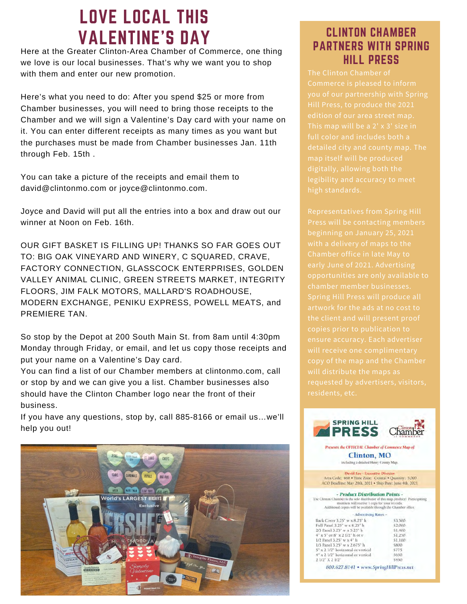### LOVE LOCAL THIS VALENTINE'S DAY

Here at the Greater Clinton-Area Chamber of Commerce, one thing we love is our local businesses. That's why we want you to shop with them and enter our new promotion.

Here's what you need to do: After you spend \$25 or more from Chamber businesses, you will need to bring those receipts to the Chamber and we will sign a Valentine's Day card with your name on it. You can enter different receipts as many times as you want but the purchases must be made from Chamber businesses Jan. 11th through Feb. 15th .

You can take a picture of the receipts and email them to david@clintonmo.com or joyce@clintonmo.com.

Joyce and David will put all the entries into a box and draw out our winner at Noon on Feb. 16th.

OUR GIFT BASKET IS FILLING UP! THANKS SO FAR GOES OUT TO: BIG OAK VINEYARD AND WINERY, C SQUARED, CRAVE, FACTORY CONNECTION, GLASSCOCK ENTERPRISES, GOLDEN VALLEY ANIMAL CLINIC, GREEN STREETS MARKET, INTEGRITY FLOORS, JIM FALK MOTORS, MALLARD'S ROADHOUSE, MODERN EXCHANGE, PENIKU EXPRESS, POWELL MEATS, and PREMIERE TAN.

So stop by the Depot at 200 South Main St. from 8am until 4:30pm Monday through Friday, or email, and let us copy those receipts and put your name on a Valentine's Day card.

You can find a list of our Chamber members at clintonmo.com, call or stop by and we can give you a list. Chamber businesses also should have the Clinton Chamber logo near the front of their business.

If you have any questions, stop by, call 885-8166 or email us…we'll help you out!



#### CLINTON CHAMBER PARTNERS WITH SPRING HILL PRESS

The Clinton Chamber of Hill Press, to produce the 2021 full color and includes both a

Representatives from Spring Hill beginning on January 25, 2021 with a delivery of maps to the Chamber office in late May to opportunities are only available to copy of the map and the Chamber residents, etc.



\$450 2 1/2" X 2 1/2" 800.627.8141 · www.SpringHillPress.net

x 2 1/2" horizontal or vertical

4" x 2 1/2" horizontal or vertical

\$800

5775

\$650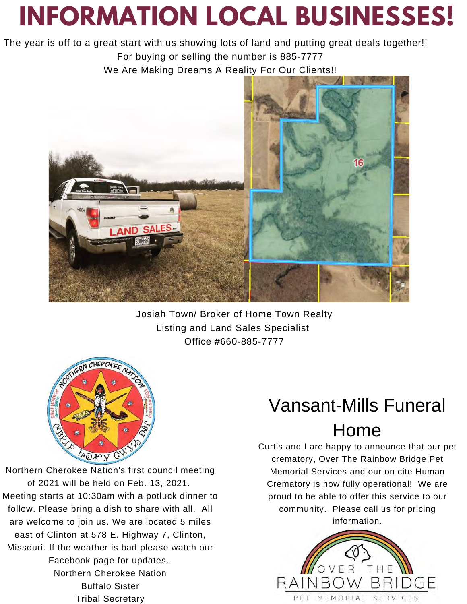## **INFORMATION LOCAL BUSINESSES!**

The year is off to a great start with us showing lots of land and putting great deals together!! For buying or selling the number is 885-7777 We Are Making Dreams A Reality For Our Clients!!



Josiah Town/ Broker of Home Town Realty Listing and Land Sales Specialist Office #660-885-7777



Northern Cherokee Nation's first council meeting of 2021 will be held on Feb. 13, 2021. Meeting starts at 10:30am with a potluck dinner to follow. Please bring a dish to share with all. All are welcome to join us. We are located 5 miles east of Clinton at 578 E. Highway 7, Clinton, Missouri. If the weather is bad please watch our Facebook page for updates. Northern Cherokee Nation Buffalo Sister Tribal Secretary

### Vansant-Mills Funeral

#### Home

Curtis and I are happy to announce that our pet crematory, Over The Rainbow Bridge Pet Memorial Services and our on cite Human Crematory is now fully operational! We are proud to be able to offer this service to our community. Please call us for pricing information.

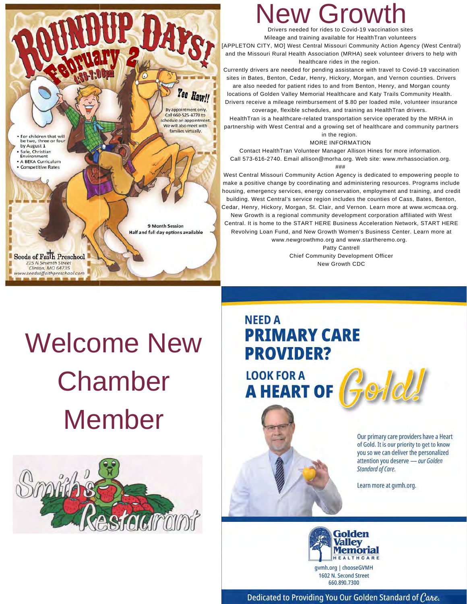For children that will<br>be two, three or four by August 1 Safe, Christian Environment A BEKA Curriculum

Seeds of Faith Preschool 215 N Seventh Street<br>Clinton, MO 64735 www.seedsoffaithpreschool.com

**Competitive Rates** 

Drivers needed for rides to Covid-19 vaccination sites Grow

Mileage and training available for HealthTran volunteers

[APPLETON CITY, MO] West Central Missouri Community Action Agency (West Central) and the Missouri Rural Health Association (MRHA) seek volunteer drivers to help with healthcare rides in the region.

Currently drivers are needed for pending assistance with travel to Covid-19 vaccination sites in Bates, Benton, Cedar, Henry, Hickory, Morgan, and Vernon counties. Drivers are also needed for patient rides to and from Benton, Henry, and Morgan county

locations of Golden Valley Memorial Healthcare and Katy Trails Community Health. Drivers receive a mileage reimbursement of \$.80 per loaded mile, volunteer insurance

coverage, flexible schedules, and training as HealthTran drivers.

HealthTran is a healthcare-related transportation service operated by the MRHA in partnership with West Central and a growing set of healthcare and community partners in the region.

MORE INFORMATION

Contact HealthTran Volunteer Manager Allison Hines for more information. Call 573-616-2740. Email allison@morha.org. Web site: www.mrhassociation.org.

###

West Central Missouri Community Action Agency is dedicated to empowering people to make a positive change by coordinating and administering resources. Programs include housing, emergency services, energy conservation, employment and training, and credit building. West Central's service region includes the counties of Cass, Bates, Benton, Cedar, Henry, Hickory, Morgan, St. Clair, and Vernon. Learn more at www.wcmcaa.org. New Growth is a regional community development corporation affiliated with West Central. It is home to the START HERE Business Acceleration Network, START HERE Revolving Loan Fund, and New Growth Women's Business Center. Learn more at www.newgrowthmo.org and www.startheremo.org.

Patty Cantrell Chief Community Development Officer New Growth CDC

## Welcome New Chamber Member

Yee Haw!!

By appointment only Call 660-525-4770 to schedule an appointment We will also meet with families virtually

9 Month Session Half and full day options available



#### **NEED A PRIMARY CARE PROVIDER?**

**LOOK FOR A A HEART OF**   $P$ 

Our primary care providers have a Heart of Gold. It is our priority to get to know you so we can deliver the personalized attention you deserve - our Golden Standard of Care.

Learn more at gymh.org.



Dedicated to Providing You Our Golden Standard of Care.